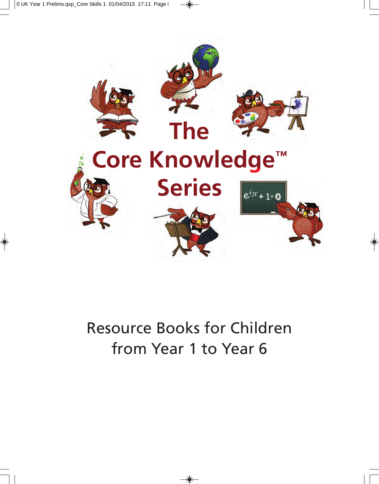

# Resource Books for Children from Year 1 to Year 6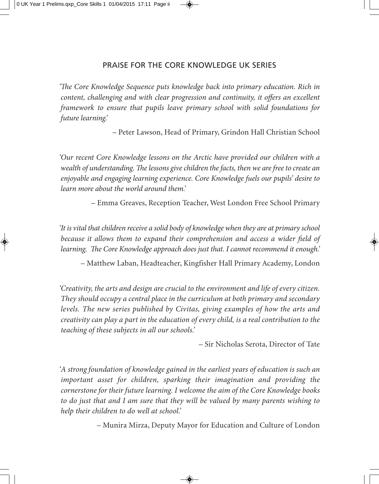#### PRAISE FOR THE CORE KNOWLEDGE UK SERIES

'The Core Knowledge Sequence puts knowledge back into primary education. Rich in content, challenging and with clear progression and continuity, it offers an excellent framework to ensure that pupils leave primary school with solid foundations for future learning.'

– Peter Lawson, Head of Primary, Grindon Hall Christian School

'Our recent Core Knowledge lessons on the Arctic have provided our children with a wealth of understanding. The lessons give children the facts, then we are free to create an enjoyable and engaging learning experience. Core Knowledge fuels our pupils' desire to learn more about the world around them.'

– Emma Greaves, Reception Teacher, West London Free School Primary

'It is vital that children receive a solid body of knowledge when they are at primary school because it allows them to expand their comprehension and access a wider field of learning. The Core Knowledge approach does just that. I cannot recommend it enough.'

– Matthew Laban, Headteacher, Kingfisher Hall Primary Academy, London

'Creativity, the arts and design are crucial to the environment and life of every citizen. They should occupy a central place in the curriculum at both primary and secondary levels. The new series published by Civitas, giving examples of how the arts and creativity can play a part in the education of every child, is a real contribution to the teaching of these subjects in all our schools.'

– Sir Nicholas Serota, Director of Tate

'A strong foundation of knowledge gained in the earliest years of education is such an important asset for children, sparking their imagination and providing the cornerstone for their future learning. I welcome the aim of the Core Knowledge books to do just that and I am sure that they will be valued by many parents wishing to help their children to do well at school.'

– Munira Mirza, Deputy Mayor for Education and Culture of London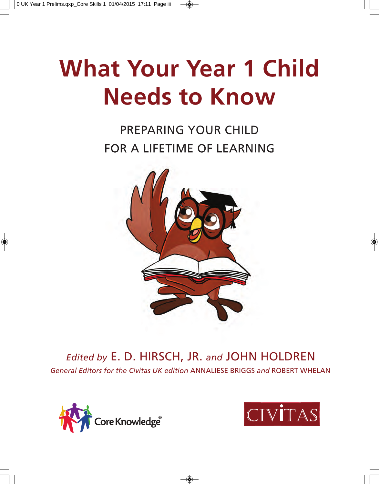# **What Your Year 1 Child Needs to Know**

PREPARING YOUR CHILD FOR A LIFETIME OF LEARNING



#### *Edited by* E. D. HIRSCH, JR. *and* JOHN HOLDREN *General Editors for the Civitas UK edition* ANNALIESE BRIGGS *and* ROBERT WHELAN



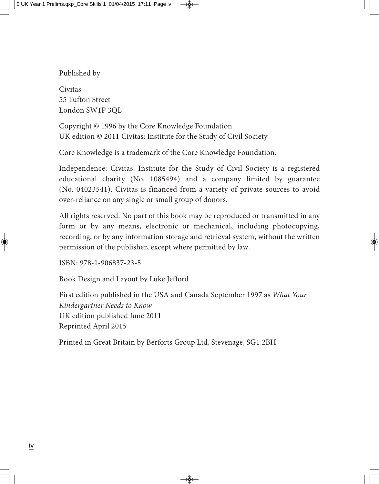Published by

Civitas 55 Tufton Street London SW1P 3QL

Copyright © 1996 by the Core Knowledge Foundation UK edition © 2011 Civitas: Institute for the Study of Civil Society

Core Knowledge is a trademark of the Core Knowledge Foundation.

Independence: Civitas: Institute for the Study of Civil Society is a registered educational charity (No. 1085494) and a company limited by guarantee (No. 04023541). Civitas is financed from a variety of private sources to avoid over-reliance on any single or small group of donors.

All rights reserved. No part of this book may be reproduced or transmitted in any form or by any means, electronic or mechanical, including photocopying, recording, or by any information storage and retrieval system, without the written permission of the publisher, except where permitted by law.

ISBN: 978-1-906837-23-5

Book Design and Layout by Luke Jefford

First edition published in the USA and Canada September 1997 as What Your Kindergartner Needs to Know UK edition published June 2011 Reprinted April 2015

Printed in Great Britain by Berforts Group Ltd, Stevenage, SG1 2BH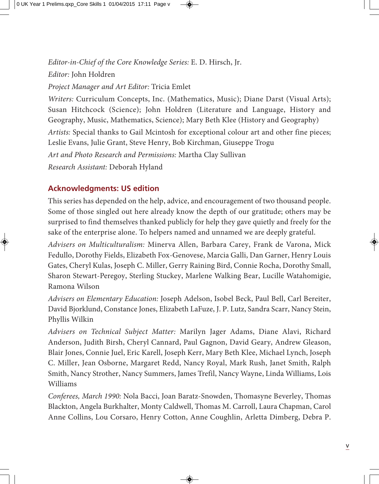Editor-in-Chief of the Core Knowledge Series: E. D. Hirsch, Jr.

Editor: John Holdren

Project Manager and Art Editor: Tricia Emlet

Writers: Curriculum Concepts, Inc. (Mathematics, Music); Diane Darst (Visual Arts); Susan Hitchcock (Science); John Holdren (Literature and Language, History and Geography, Music, Mathematics, Science); Mary Beth Klee (History and Geography) Artists: Special thanks to Gail Mcintosh for exceptional colour art and other fine pieces; Leslie Evans, Julie Grant, Steve Henry, Bob Kirchman, Giuseppe Trogu Art and Photo Research and Permissions: Martha Clay Sullivan Research Assistant: Deborah Hyland

#### **Acknowledgments: US edition**

This series has depended on the help, advice, and encouragement of two thousand people. Some of those singled out here already know the depth of our gratitude; others may be surprised to find themselves thanked publicly for help they gave quietly and freely for the sake of the enterprise alone. To helpers named and unnamed we are deeply grateful.

Advisers on Multiculturalism: Minerva Allen, Barbara Carey, Frank de Varona, Mick Fedullo, Dorothy Fields, Elizabeth Fox-Genovese, Marcia Galli, Dan Garner, Henry Louis Gates, Cheryl Kulas, Joseph C. Miller, Gerry Raining Bird, Connie Rocha, Dorothy Small, Sharon Stewart-Peregoy, Sterling Stuckey, Marlene Walking Bear, Lucille Watahomigie, Ramona Wilson

Advisers on Elementary Education: Joseph Adelson, Isobel Beck, Paul Bell, Carl Bereiter, David Bjorklund, Constance Jones, Elizabeth LaFuze, J. P. Lutz, Sandra Scarr, Nancy Stein, Phyllis Wilkin

Advisers on Technical Subject Matter: Marilyn Jager Adams, Diane Alavi, Richard Anderson, Judith Birsh, Cheryl Cannard, Paul Gagnon, David Geary, Andrew Gleason, Blair Jones, Connie Juel, Eric Karell, Joseph Kerr, Mary Beth Klee, Michael Lynch, Joseph C. Miller, Jean Osborne, Margaret Redd, Nancy Royal, Mark Rush, Janet Smith, Ralph Smith, Nancy Strother, Nancy Summers, James Trefil, Nancy Wayne, Linda Williams, Lois Williams

Conferees, March 1990: Nola Bacci, Joan Baratz-Snowden, Thomasyne Beverley, Thomas Blackton, Angela Burkhalter, Monty Caldwell, Thomas M. Carroll, Laura Chapman, Carol Anne Collins, Lou Corsaro, Henry Cotton, Anne Coughlin, Arletta Dimberg, Debra P.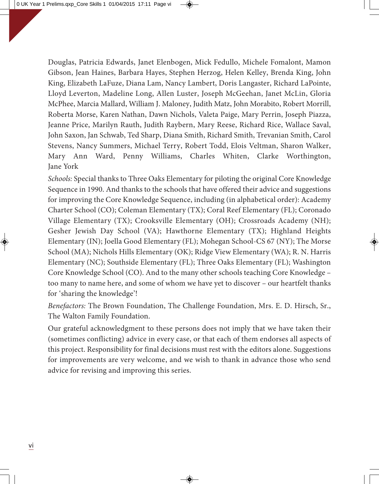Douglas, Patricia Edwards, Janet Elenbogen, Mick Fedullo, Michele Fomalont, Mamon Gibson, Jean Haines, Barbara Hayes, Stephen Herzog, Helen Kelley, Brenda King, John King, Elizabeth LaFuze, Diana Lam, Nancy Lambert, Doris Langaster, Richard LaPointe, Lloyd Leverton, Madeline Long, Allen Luster, Joseph McGeehan, Janet McLin, Gloria McPhee, Marcia Mallard, William J. Maloney, Judith Matz, John Morabito, Robert Morrill, Roberta Morse, Karen Nathan, Dawn Nichols, Valeta Paige, Mary Perrin, Joseph Piazza, Jeanne Price, Marilyn Rauth, Judith Raybern, Mary Reese, Richard Rice, Wallace Saval, John Saxon, Jan Schwab, Ted Sharp, Diana Smith, Richard Smith, Trevanian Smith, Carol Stevens, Nancy Summers, Michael Terry, Robert Todd, Elois Veltman, Sharon Walker, Mary Ann Ward, Penny Williams, Charles Whiten, Clarke Worthington, Jane York

Schools: Special thanks to Three Oaks Elementary for piloting the original Core Knowledge Sequence in 1990. And thanks to the schools that have offered their advice and suggestions for improving the Core Knowledge Sequence, including (in alphabetical order): Academy Charter School (CO); Coleman Elementary (TX); Coral Reef Elementary (FL); Coronado Village Elementary (TX); Crooksville Elementary (OH); Crossroads Academy (NH); Gesher Jewish Day School (VA); Hawthorne Elementary (TX); Highland Heights Elementary (IN); Joella Good Elementary (FL); Mohegan School-CS 67 (NY); The Morse School (MA); Nichols Hills Elementary (OK); Ridge View Elementary (WA); R. N. Harris Elementary (NC); Southside Elementary (FL); Three Oaks Elementary (FL); Washington Core Knowledge School (CO). And to the many other schools teaching Core Knowledge – too many to name here, and some of whom we have yet to discover – our heartfelt thanks for 'sharing the knowledge'!

Benefactors: The Brown Foundation, The Challenge Foundation, Mrs. E. D. Hirsch, Sr., The Walton Family Foundation.

Our grateful acknowledgment to these persons does not imply that we have taken their (sometimes conflicting) advice in every case, or that each of them endorses all aspects of this project. Responsibility for final decisions must rest with the editors alone. Suggestions for improvements are very welcome, and we wish to thank in advance those who send advice for revising and improving this series.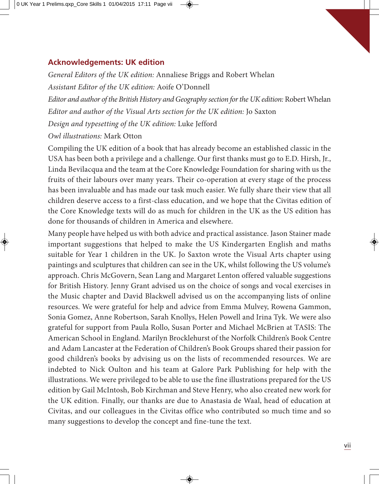#### **Acknowledgements: UK edition**

General Editors of the UK edition: Annaliese Briggs and Robert Whelan Assistant Editor of the UK edition: Aoife O'Donnell Editor and author of the British History and Geography section for the UK edition: Robert Whelan Editor and author of the Visual Arts section for the UK edition: Jo Saxton Design and typesetting of the UK edition: Luke Jefford Owl illustrations: Mark Otton

Compiling the UK edition of a book that has already become an established classic in the USA has been both a privilege and a challenge. Our first thanks must go to E.D. Hirsh, Jr., Linda Bevilacqua and the team at the Core Knowledge Foundation for sharing with us the fruits of their labours over many years. Their co-operation at every stage of the process has been invaluable and has made our task much easier. We fully share their view that all children deserve access to a first-class education, and we hope that the Civitas edition of the Core Knowledge texts will do as much for children in the UK as the US edition has done for thousands of children in America and elsewhere.

Many people have helped us with both advice and practical assistance. Jason Stainer made important suggestions that helped to make the US Kindergarten English and maths suitable for Year 1 children in the UK. Jo Saxton wrote the Visual Arts chapter using paintings and sculptures that children can see in the UK, whilst following the US volume's approach. Chris McGovern, Sean Lang and Margaret Lenton offered valuable suggestions for British History. Jenny Grant advised us on the choice of songs and vocal exercises in the Music chapter and David Blackwell advised us on the accompanying lists of online resources. We were grateful for help and advice from Emma Mulvey, Rowena Gammon, Sonia Gomez, Anne Robertson, Sarah Knollys, Helen Powell and Irina Tyk. We were also grateful for support from Paula Rollo, Susan Porter and Michael McBrien at TASIS: The American School in England. Marilyn Brocklehurst of the Norfolk Children's Book Centre and Adam Lancaster at the Federation of Children's Book Groups shared their passion for good children's books by advising us on the lists of recommended resources. We are indebted to Nick Oulton and his team at Galore Park Publishing for help with the illustrations. We were privileged to be able to use the fine illustrations prepared for the US edition by Gail McIntosh, Bob Kirchman and Steve Henry, who also created new work for the UK edition. Finally, our thanks are due to Anastasia de Waal, head of education at Civitas, and our colleagues in the Civitas office who contributed so much time and so many suggestions to develop the concept and fine-tune the text.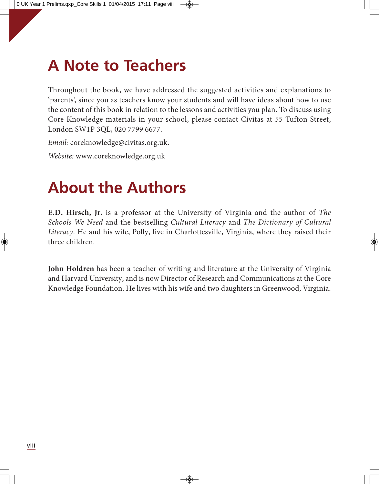# **A Note to Teachers**

Throughout the book, we have addressed the suggested activities and explanations to 'parents', since you as teachers know your students and will have ideas about how to use the content of this book in relation to the lessons and activities you plan. To discuss using Core Knowledge materials in your school, please contact Civitas at 55 Tufton Street, London SW1P 3QL, 020 7799 6677.

Email: coreknowledge@civitas.org.uk.

Website: www.coreknowledge.org.uk

# **About the Authors**

**E.D. Hirsch, Jr.** is a professor at the University of Virginia and the author of The Schools We Need and the bestselling Cultural Literacy and The Dictionary of Cultural Literacy. He and his wife, Polly, live in Charlottesville, Virginia, where they raised their three children.

**John Holdren** has been a teacher of writing and literature at the University of Virginia and Harvard University, and is now Director of Research and Communications at the Core Knowledge Foundation. He lives with his wife and two daughters in Greenwood, Virginia.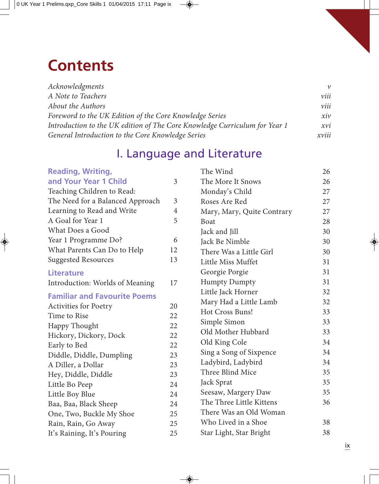# **Contents**

| Acknowledgments                                                            | $\mathcal V$ |
|----------------------------------------------------------------------------|--------------|
| A Note to Teachers                                                         | viii         |
| About the Authors                                                          | viii         |
| Foreword to the UK Edition of the Core Knowledge Series                    | $xi\$        |
| Introduction to the UK edition of The Core Knowledge Curriculum for Year 1 | xvi          |
| General Introduction to the Core Knowledge Series                          | xviii        |

### I. Language and Literature

| <b>Reading, Writing,</b>            |                |  |
|-------------------------------------|----------------|--|
| and Your Year 1 Child               | 3              |  |
| Teaching Children to Read:          |                |  |
| The Need for a Balanced Approach    | 3              |  |
| Learning to Read and Write          | $\overline{4}$ |  |
| A Goal for Year 1                   | 5              |  |
| What Does a Good                    |                |  |
| Year 1 Programme Do?                | 6              |  |
| What Parents Can Do to Help         | 12             |  |
| <b>Suggested Resources</b>          | 13             |  |
| <b>Literature</b>                   |                |  |
| Introduction: Worlds of Meaning     | 17             |  |
| <b>Familiar and Favourite Poems</b> |                |  |
| <b>Activities for Poetry</b>        | 20             |  |
| Time to Rise                        | 22             |  |
| Happy Thought                       | 22             |  |
| Hickory, Dickory, Dock              | 22             |  |
| Early to Bed                        | 22             |  |
| Diddle, Diddle, Dumpling            | 23             |  |
| A Diller, a Dollar                  | 23             |  |
| Hey, Diddle, Diddle                 | 23             |  |
| Little Bo Peep                      | 24             |  |
| Little Boy Blue                     | 24             |  |
| Baa, Baa, Black Sheep               | 24             |  |
| One, Two, Buckle My Shoe            | 25             |  |
| Rain, Rain, Go Away                 | 25             |  |
| It's Raining, It's Pouring          | 25             |  |

| The Wind                   | 26 |
|----------------------------|----|
| The More It Snows          | 26 |
| Monday's Child             | 27 |
| Roses Are Red              | 27 |
| Mary, Mary, Quite Contrary | 27 |
| <b>Boat</b>                | 28 |
| Jack and Jill              | 30 |
| Jack Be Nimble             | 30 |
| There Was a Little Girl    | 30 |
| Little Miss Muffet         | 31 |
| Georgie Porgie             | 31 |
| <b>Humpty Dumpty</b>       | 31 |
| Little Jack Horner         | 32 |
| Mary Had a Little Lamb     | 32 |
| Hot Cross Buns!            | 33 |
| Simple Simon               | 33 |
| Old Mother Hubbard         | 33 |
| Old King Cole              | 34 |
| Sing a Song of Sixpence    | 34 |
| Ladybird, Ladybird         | 34 |
| Three Blind Mice           | 35 |
| Jack Sprat                 | 35 |
| Seesaw, Margery Daw        | 35 |
| The Three Little Kittens   | 36 |
| There Was an Old Woman     |    |
| Who Lived in a Shoe        | 38 |
| Star Light, Star Bright    | 38 |
|                            |    |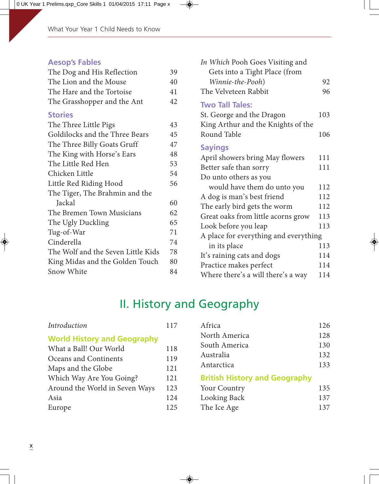#### **Aesop's Fables**

| The Dog and His Reflection         | 39 |
|------------------------------------|----|
| The Lion and the Mouse             | 40 |
| The Hare and the Tortoise          | 41 |
| The Grasshopper and the Ant        | 42 |
| <b>Stories</b>                     |    |
| The Three Little Pigs              | 43 |
| Goldilocks and the Three Bears     | 45 |
| The Three Billy Goats Gruff        | 47 |
| The King with Horse's Ears         | 48 |
| The Little Red Hen                 | 53 |
| Chicken Little                     | 54 |
| Little Red Riding Hood             | 56 |
| The Tiger, The Brahmin and the     |    |
| Jackal                             | 60 |
| The Bremen Town Musicians          | 62 |
| The Ugly Duckling                  | 65 |
| Tug-of-War                         | 71 |
| Cinderella                         | 74 |
| The Wolf and the Seven Little Kids | 78 |
| King Midas and the Golden Touch    | 80 |
| Snow White                         | 84 |
|                                    |    |

| In Which Pooh Goes Visiting and       |     |
|---------------------------------------|-----|
| Gets into a Tight Place (from         |     |
| Winnie-the-Pooh)                      | 92  |
| The Velveteen Rabbit                  | 96  |
| <b>Two Tall Tales:</b>                |     |
| St. George and the Dragon             | 103 |
| King Arthur and the Knights of the    |     |
| Round Table                           | 106 |
| <b>Sayings</b>                        |     |
| April showers bring May flowers       | 111 |
| Better safe than sorry                | 111 |
| Do unto others as you                 |     |
| would have them do unto you           | 112 |
| A dog is man's best friend            | 112 |
| The early bird gets the worm          | 112 |
| Great oaks from little acorns grow    | 113 |
| Look before you leap                  | 113 |
| A place for everything and everything |     |
| in its place                          | 113 |
| It's raining cats and dogs            | 114 |
| Practice makes perfect                | 114 |
| Where there's a will there's a way    | 114 |
|                                       |     |

### II. History and Geography

| Introduction                       | 117 |
|------------------------------------|-----|
| <b>World History and Geography</b> |     |
| What a Ball! Our World             | 118 |
| Oceans and Continents              | 119 |
| Maps and the Globe                 | 121 |
| Which Way Are You Going?           | 121 |
| Around the World in Seven Ways     | 123 |
| Asia                               | 124 |
| Europe                             | 125 |

| Africa                               | 126 |
|--------------------------------------|-----|
| North America                        | 128 |
| South America                        | 130 |
| Australia                            | 132 |
| Antarctica                           | 133 |
| <b>British History and Geography</b> |     |
| Your Country                         | 135 |
| <b>Looking Back</b>                  | 137 |
| The Ice Age                          | 137 |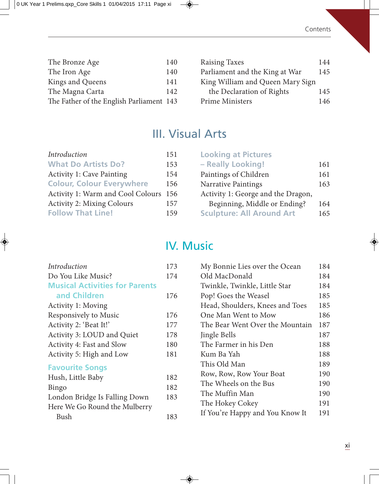| The Bronze Age                           | 140 |
|------------------------------------------|-----|
| The Iron Age                             | 140 |
| Kings and Queens                         | 141 |
| The Magna Carta                          | 142 |
| The Father of the English Parliament 143 |     |
|                                          |     |

| <b>Raising Taxes</b>             | 144 |
|----------------------------------|-----|
| Parliament and the King at War   | 145 |
| King William and Queen Mary Sign |     |
| the Declaration of Rights        | 145 |
| <b>Prime Ministers</b>           | 146 |

### III. Visual Arts

| Introduction                          | 151 | <b>Looking at Pictures</b>         |     |
|---------------------------------------|-----|------------------------------------|-----|
| <b>What Do Artists Do?</b>            | 153 | - Really Looking!                  | 161 |
| <b>Activity 1: Cave Painting</b>      | 154 | Paintings of Children              | 161 |
| <b>Colour, Colour Everywhere</b>      | 156 | Narrative Paintings                | 163 |
| Activity 1: Warm and Cool Colours 156 |     | Activity 1: George and the Dragon, |     |
| <b>Activity 2: Mixing Colours</b>     | 157 | Beginning, Middle or Ending?       | 164 |
| <b>Follow That Line!</b>              | 159 | <b>Sculpture: All Around Art</b>   | 165 |

### IV. Music

| Introduction                          | 173 |
|---------------------------------------|-----|
| Do You Like Music?                    | 174 |
| <b>Musical Activities for Parents</b> |     |
| and Children                          | 176 |
| Activity 1: Moving                    |     |
| Responsively to Music                 | 176 |
| Activity 2: 'Beat It!'                | 177 |
| Activity 3: LOUD and Quiet            | 178 |
| Activity 4: Fast and Slow             | 180 |
| Activity 5: High and Low              | 181 |
| <b>Favourite Songs</b>                |     |
| Hush, Little Baby                     | 182 |
| Bingo                                 | 182 |
| London Bridge Is Falling Down         | 183 |
| Here We Go Round the Mulberry         |     |
| <b>Bush</b>                           | 183 |

| My Bonnie Lies over the Ocean   | 184 |
|---------------------------------|-----|
| Old MacDonald                   | 184 |
| Twinkle, Twinkle, Little Star   | 184 |
| Pop! Goes the Weasel            | 185 |
| Head, Shoulders, Knees and Toes | 185 |
| One Man Went to Mow             | 186 |
| The Bear Went Over the Mountain | 187 |
| Jingle Bells                    | 187 |
| The Farmer in his Den           | 188 |
| Kum Ba Yah                      | 188 |
| This Old Man                    | 189 |
| Row, Row, Row Your Boat         | 190 |
| The Wheels on the Bus           | 190 |
| The Muffin Man                  | 190 |
| The Hokey Cokey                 | 191 |
| If You're Happy and You Know It | 191 |
|                                 |     |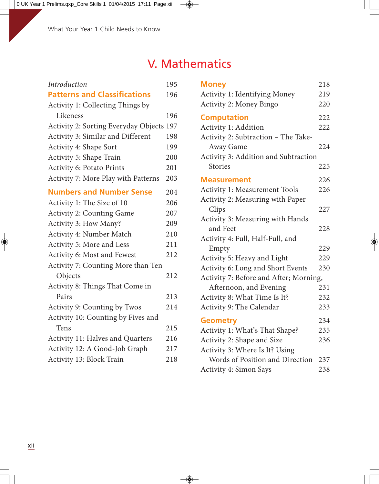### V. Mathematics

| Introduction                         | 195 |
|--------------------------------------|-----|
| <b>Patterns and Classifications</b>  | 196 |
| Activity 1: Collecting Things by     |     |
| Likeness                             | 196 |
| Activity 2: Sorting Everyday Objects | 197 |
| Activity 3: Similar and Different    | 198 |
| Activity 4: Shape Sort               | 199 |
| Activity 5: Shape Train              | 200 |
| Activity 6: Potato Prints            | 201 |
| Activity 7: More Play with Patterns  | 203 |
| <b>Numbers and Number Sense</b>      | 204 |
| Activity 1: The Size of 10           | 206 |
| <b>Activity 2: Counting Game</b>     | 207 |
| Activity 3: How Many?                | 209 |
| Activity 4: Number Match             | 210 |
| Activity 5: More and Less            | 211 |
| Activity 6: Most and Fewest          | 212 |
| Activity 7: Counting More than Ten   |     |
| Objects                              | 212 |
| Activity 8: Things That Come in      |     |
| Pairs                                | 213 |
| Activity 9: Counting by Twos         | 214 |
| Activity 10: Counting by Fives and   |     |
| Tens                                 | 215 |
| Activity 11: Halves and Quarters     | 216 |
| Activity 12: A Good-Job Graph        | 217 |
| Activity 13: Block Train             | 218 |
|                                      |     |

| <b>Money</b><br>Activity 1: Identifying Money<br>Activity 2: Money Bingo                                   | 218<br>219<br>220 |
|------------------------------------------------------------------------------------------------------------|-------------------|
| <b>Computation</b><br>Activity 1: Addition                                                                 | 222<br>222        |
| Activity 2: Subtraction - The Take-<br>Away Game<br>Activity 3: Addition and Subtraction<br><b>Stories</b> | 224<br>225        |
| <b>Measurement</b>                                                                                         | 226               |
| <b>Activity 1: Measurement Tools</b>                                                                       | 226               |
| Activity 2: Measuring with Paper<br>Clips                                                                  | 227               |
| Activity 3: Measuring with Hands                                                                           |                   |
| and Feet                                                                                                   | 228               |
| Activity 4: Full, Half-Full, and                                                                           |                   |
| Empty                                                                                                      | 229               |
| Activity 5: Heavy and Light                                                                                | 229               |
| Activity 6: Long and Short Events                                                                          | 230               |
| Activity 7: Before and After; Morning,                                                                     |                   |
| Afternoon, and Evening                                                                                     | 231               |
| Activity 8: What Time Is It?                                                                               | 232               |
| Activity 9: The Calendar                                                                                   | 233               |
| <b>Geometry</b>                                                                                            | 234               |
| Activity 1: What's That Shape?                                                                             | 235               |
| Activity 2: Shape and Size                                                                                 | 236               |
| Activity 3: Where Is It? Using                                                                             |                   |
| Words of Position and Direction                                                                            | 237               |
| Activity 4: Simon Says                                                                                     | 238               |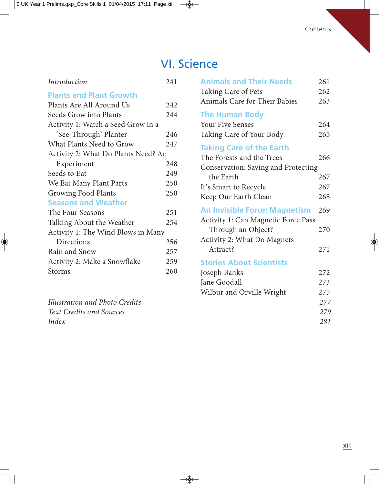### VI. Science

| Introduction                        | 241 |
|-------------------------------------|-----|
| <b>Plants and Plant Growth</b>      |     |
| Plants Are All Around Us            | 242 |
| Seeds Grow into Plants              | 244 |
| Activity 1: Watch a Seed Grow in a  |     |
| 'See-Through' Planter               | 246 |
| What Plants Need to Grow            | 247 |
| Activity 2: What Do Plants Need? An |     |
| Experiment                          | 248 |
| Seeds to Eat                        | 249 |
| We Eat Many Plant Parts             | 250 |
| <b>Growing Food Plants</b>          | 250 |
| <b>Seasons and Weather</b>          |     |
| The Four Seasons                    | 251 |
| Talking About the Weather           | 254 |
| Activity 1: The Wind Blows in Many  |     |
| Directions                          | 256 |
| Rain and Snow                       | 257 |
| Activity 2: Make a Snowflake        | 259 |
| Storms                              | 260 |

Illustration and Photo Credits Text Credits and Sources<br>Index Index 281

| <b>Animals and Their Needs</b>             | 261 |
|--------------------------------------------|-----|
| Taking Care of Pets                        | 262 |
| Animals Care for Their Babies              | 263 |
| <b>The Human Body</b>                      |     |
| <b>Your Five Senses</b>                    | 264 |
| Taking Care of Your Body                   | 265 |
| <b>Taking Care of the Earth</b>            |     |
| The Forests and the Trees                  | 266 |
| <b>Conservation: Saving and Protecting</b> |     |
| the Earth                                  | 267 |
| It's Smart to Recycle                      | 267 |
| Keep Our Earth Clean                       | 268 |
| <b>An Invisible Force: Magnetism</b>       | 269 |
| Activity 1: Can Magnetic Force Pass        |     |
| Through an Object?                         | 270 |
| Activity 2: What Do Magnets                |     |
| Attract?                                   | 271 |
| <b>Stories About Scientists</b>            |     |
| Joseph Banks                               | 272 |
| Jane Goodall                               | 273 |
| Wilbur and Orville Wright                  | 275 |
|                                            | 277 |
|                                            | 279 |
|                                            | 201 |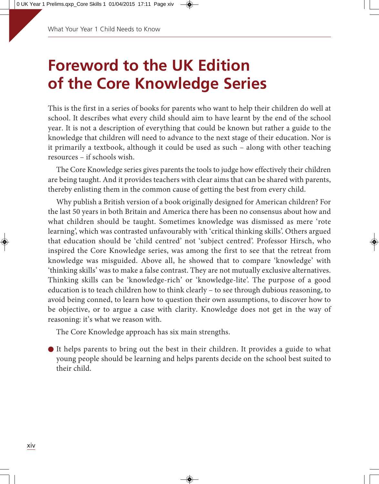# **Foreword to the UK Edition of the Core Knowledge Series**

This is the first in a series of books for parents who want to help their children do well at school. It describes what every child should aim to have learnt by the end of the school year. It is not a description of everything that could be known but rather a guide to the knowledge that children will need to advance to the next stage of their education. Nor is it primarily a textbook, although it could be used as such – along with other teaching resources – if schools wish.

The Core Knowledge series gives parents the tools to judge how effectively their children are being taught. And it provides teachers with clear aims that can be shared with parents, thereby enlisting them in the common cause of getting the best from every child.

Why publish a British version of a book originally designed for American children? For the last 50 years in both Britain and America there has been no consensus about how and what children should be taught. Sometimes knowledge was dismissed as mere 'rote learning', which was contrasted unfavourably with 'critical thinking skills'. Others argued that education should be 'child centred' not 'subject centred'. Professor Hirsch, who inspired the Core Knowledge series, was among the first to see that the retreat from knowledge was misguided. Above all, he showed that to compare 'knowledge' with 'thinking skills' was to make a false contrast. They are not mutually exclusive alternatives. Thinking skills can be 'knowledge-rich' or 'knowledge-lite'. The purpose of a good education is to teach children how to think clearly – to see through dubious reasoning, to avoid being conned, to learn how to question their own assumptions, to discover how to be objective, or to argue a case with clarity. Knowledge does not get in the way of reasoning: it's what we reason with.

The Core Knowledge approach has six main strengths.

**●** It helps parents to bring out the best in their children. It provides a guide to what young people should be learning and helps parents decide on the school best suited to their child.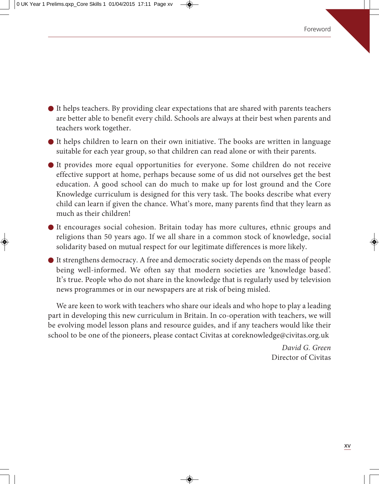- **●** It helps teachers. By providing clear expectations that are shared with parents teachers are better able to benefit every child. Schools are always at their best when parents and teachers work together.
- **●** It helps children to learn on their own initiative. The books are written in language suitable for each year group, so that children can read alone or with their parents.
- **●** It provides more equal opportunities for everyone. Some children do not receive effective support at home, perhaps because some of us did not ourselves get the best education. A good school can do much to make up for lost ground and the Core Knowledge curriculum is designed for this very task. The books describe what every child can learn if given the chance. What's more, many parents find that they learn as much as their children!
- **●** It encourages social cohesion. Britain today has more cultures, ethnic groups and religions than 50 years ago. If we all share in a common stock of knowledge, social solidarity based on mutual respect for our legitimate differences is more likely.
- **●** It strengthens democracy. A free and democratic society depends on the mass of people being well-informed. We often say that modern societies are 'knowledge based'. It's true. People who do not share in the knowledge that is regularly used by television news programmes or in our newspapers are at risk of being misled.

We are keen to work with teachers who share our ideals and who hope to play a leading part in developing this new curriculum in Britain. In co-operation with teachers, we will be evolving model lesson plans and resource guides, and if any teachers would like their school to be one of the pioneers, please contact Civitas at coreknowledge@civitas.org.uk

> David G. Green Director of Civitas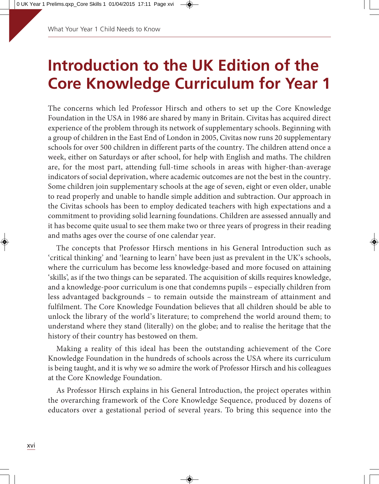# **Introduction to the UK Edition of the Core Knowledge Curriculum for Year 1**

The concerns which led Professor Hirsch and others to set up the Core Knowledge Foundation in the USA in 1986 are shared by many in Britain. Civitas has acquired direct experience of the problem through its network of supplementary schools. Beginning with a group of children in the East End of London in 2005, Civitas now runs 20 supplementary schools for over 500 children in different parts of the country. The children attend once a week, either on Saturdays or after school, for help with English and maths. The children are, for the most part, attending full-time schools in areas with higher-than-average indicators of social deprivation, where academic outcomes are not the best in the country. Some children join supplementary schools at the age of seven, eight or even older, unable to read properly and unable to handle simple addition and subtraction. Our approach in the Civitas schools has been to employ dedicated teachers with high expectations and a commitment to providing solid learning foundations. Children are assessed annually and it has become quite usual to see them make two or three years of progress in their reading and maths ages over the course of one calendar year.

The concepts that Professor Hirsch mentions in his General Introduction such as 'critical thinking' and 'learning to learn' have been just as prevalent in the UK's schools, where the curriculum has become less knowledge-based and more focused on attaining 'skills', as if the two things can be separated. The acquisition of skills requires knowledge, and a knowledge-poor curriculum is one that condemns pupils – especially children from less advantaged backgrounds – to remain outside the mainstream of attainment and fulfilment. The Core Knowledge Foundation believes that all children should be able to unlock the library of the world's literature; to comprehend the world around them; to understand where they stand (literally) on the globe; and to realise the heritage that the history of their country has bestowed on them.

Making a reality of this ideal has been the outstanding achievement of the Core Knowledge Foundation in the hundreds of schools across the USA where its curriculum is being taught, and it is why we so admire the work of Professor Hirsch and his colleagues at the Core Knowledge Foundation.

As Professor Hirsch explains in his General Introduction, the project operates within the overarching framework of the Core Knowledge Sequence, produced by dozens of educators over a gestational period of several years. To bring this sequence into the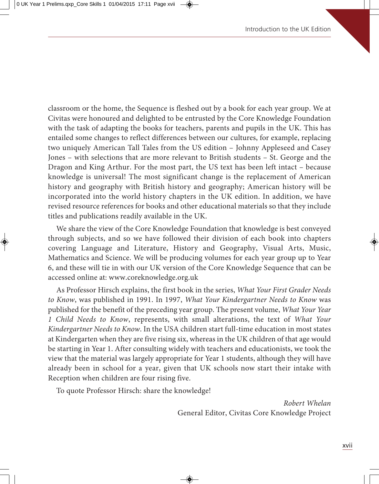classroom or the home, the Sequence is fleshed out by a book for each year group. We at Civitas were honoured and delighted to be entrusted by the Core Knowledge Foundation with the task of adapting the books for teachers, parents and pupils in the UK. This has entailed some changes to reflect differences between our cultures, for example, replacing two uniquely American Tall Tales from the US edition – Johnny Appleseed and Casey Jones – with selections that are more relevant to British students – St. George and the Dragon and King Arthur. For the most part, the US text has been left intact – because knowledge is universal! The most significant change is the replacement of American history and geography with British history and geography; American history will be incorporated into the world history chapters in the UK edition. In addition, we have revised resource references for books and other educational materials so that they include titles and publications readily available in the UK.

We share the view of the Core Knowledge Foundation that knowledge is best conveyed through subjects, and so we have followed their division of each book into chapters covering Language and Literature, History and Geography, Visual Arts, Music, Mathematics and Science. We will be producing volumes for each year group up to Year 6, and these will tie in with our UK version of the Core Knowledge Sequence that can be accessed online at: www.coreknowledge.org.uk

As Professor Hirsch explains, the first book in the series, What Your First Grader Needs to Know, was published in 1991. In 1997, What Your Kindergartner Needs to Know was published for the benefit of the preceding year group. The present volume, What Your Year 1 Child Needs to Know, represents, with small alterations, the text of What Your Kindergartner Needs to Know. In the USA children start full-time education in most states at Kindergarten when they are five rising six, whereas in the UK children of that age would be starting in Year 1. After consulting widely with teachers and educationists, we took the view that the material was largely appropriate for Year 1 students, although they will have already been in school for a year, given that UK schools now start their intake with Reception when children are four rising five.

To quote Professor Hirsch: share the knowledge!

Robert Whelan General Editor, Civitas Core Knowledge Project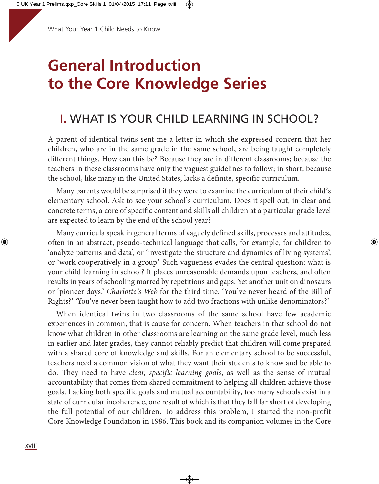# **General Introduction to the Core Knowledge Series**

#### I. WHAT IS YOUR CHILD LEARNING IN SCHOOL?

A parent of identical twins sent me a letter in which she expressed concern that her children, who are in the same grade in the same school, are being taught completely different things. How can this be? Because they are in different classrooms; because the teachers in these classrooms have only the vaguest guidelines to follow; in short, because the school, like many in the United States, lacks a definite, specific curriculum.

Many parents would be surprised if they were to examine the curriculum of their child's elementary school. Ask to see your school's curriculum. Does it spell out, in clear and concrete terms, a core of specific content and skills all children at a particular grade level are expected to learn by the end of the school year?

Many curricula speak in general terms of vaguely defined skills, processes and attitudes, often in an abstract, pseudo-technical language that calls, for example, for children to 'analyze patterns and data', or 'investigate the structure and dynamics of living systems', or 'work cooperatively in a group'. Such vagueness evades the central question: what is your child learning in school? It places unreasonable demands upon teachers, and often results in years of schooling marred by repetitions and gaps. Yet another unit on dinosaurs or 'pioneer days.' Charlotte*'*s Web for the third time. 'You've never heard of the Bill of Rights?' 'You've never been taught how to add two fractions with unlike denominators?'

When identical twins in two classrooms of the same school have few academic experiences in common, that is cause for concern. When teachers in that school do not know what children in other classrooms are learning on the same grade level, much less in earlier and later grades, they cannot reliably predict that children will come prepared with a shared core of knowledge and skills. For an elementary school to be successful, teachers need a common vision of what they want their students to know and be able to do. They need to have clear, specific learning goals, as well as the sense of mutual accountability that comes from shared commitment to helping all children achieve those goals. Lacking both specific goals and mutual accountability, too many schools exist in a state of curricular incoherence, one result of which is that they fall far short of developing the full potential of our children. To address this problem, I started the non-profit Core Knowledge Foundation in 1986. This book and its companion volumes in the Core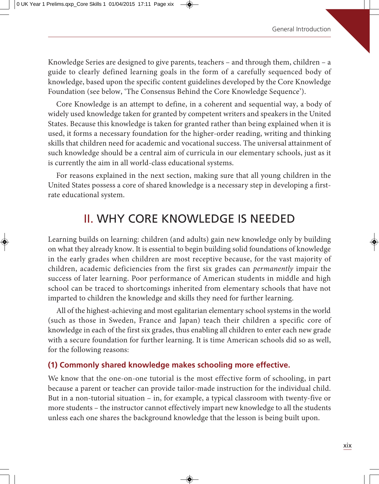Knowledge Series are designed to give parents, teachers – and through them, children – a guide to clearly defined learning goals in the form of a carefully sequenced body of knowledge, based upon the specific content guidelines developed by the Core Knowledge Foundation (see below, 'The Consensus Behind the Core Knowledge Sequence').

Core Knowledge is an attempt to define, in a coherent and sequential way, a body of widely used knowledge taken for granted by competent writers and speakers in the United States. Because this knowledge is taken for granted rather than being explained when it is used, it forms a necessary foundation for the higher-order reading, writing and thinking skills that children need for academic and vocational success. The universal attainment of such knowledge should be a central aim of curricula in our elementary schools, just as it is currently the aim in all world-class educational systems.

For reasons explained in the next section, making sure that all young children in the United States possess a core of shared knowledge is a necessary step in developing a firstrate educational system.

### II. WHY CORE KNOWLEDGE IS NEEDED

Learning builds on learning: children (and adults) gain new knowledge only by building on what they already know. It is essential to begin building solid foundations of knowledge in the early grades when children are most receptive because, for the vast majority of children, academic deficiencies from the first six grades can permanently impair the success of later learning. Poor performance of American students in middle and high school can be traced to shortcomings inherited from elementary schools that have not imparted to children the knowledge and skills they need for further learning.

All of the highest-achieving and most egalitarian elementary school systems in the world (such as those in Sweden, France and Japan) teach their children a specific core of knowledge in each of the first six grades, thus enabling all children to enter each new grade with a secure foundation for further learning. It is time American schools did so as well, for the following reasons:

#### **(1) Commonly shared knowledge makes schooling more effective.**

We know that the one-on-one tutorial is the most effective form of schooling, in part because a parent or teacher can provide tailor-made instruction for the individual child. But in a non-tutorial situation – in, for example, a typical classroom with twenty-five or more students – the instructor cannot effectively impart new knowledge to all the students unless each one shares the background knowledge that the lesson is being built upon.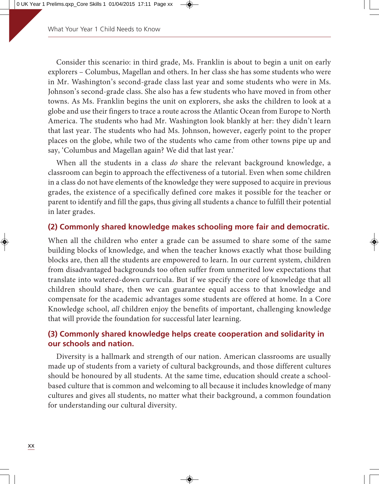Consider this scenario: in third grade, Ms. Franklin is about to begin a unit on early explorers – Columbus, Magellan and others. In her class she has some students who were in Mr. Washington's second-grade class last year and some students who were in Ms. Johnson's second-grade class. She also has a few students who have moved in from other towns. As Ms. Franklin begins the unit on explorers, she asks the children to look at a globe and use their fingers to trace a route across the Atlantic Ocean from Europe to North America. The students who had Mr. Washington look blankly at her: they didn't learn that last year. The students who had Ms. Johnson, however, eagerly point to the proper places on the globe, while two of the students who came from other towns pipe up and say, 'Columbus and Magellan again? We did that last year.'

When all the students in a class do share the relevant background knowledge, a classroom can begin to approach the effectiveness of a tutorial. Even when some children in a class do not have elements of the knowledge they were supposed to acquire in previous grades, the existence of a specifically defined core makes it possible for the teacher or parent to identify and fill the gaps, thus giving all students a chance to fulfill their potential in later grades.

#### **(2) Commonly shared knowledge makes schooling more fair and democratic.**

When all the children who enter a grade can be assumed to share some of the same building blocks of knowledge, and when the teacher knows exactly what those building blocks are, then all the students are empowered to learn. In our current system, children from disadvantaged backgrounds too often suffer from unmerited low expectations that translate into watered-down curricula. But if we specify the core of knowledge that all children should share, then we can guarantee equal access to that knowledge and compensate for the academic advantages some students are offered at home. In a Core Knowledge school, all children enjoy the benefits of important, challenging knowledge that will provide the foundation for successful later learning.

#### **(3) Commonly shared knowledge helps create cooperation and solidarity in our schools and nation.**

Diversity is a hallmark and strength of our nation. American classrooms are usually made up of students from a variety of cultural backgrounds, and those different cultures should be honoured by all students. At the same time, education should create a schoolbased culture that is common and welcoming to all because it includes knowledge of many cultures and gives all students, no matter what their background, a common foundation for understanding our cultural diversity.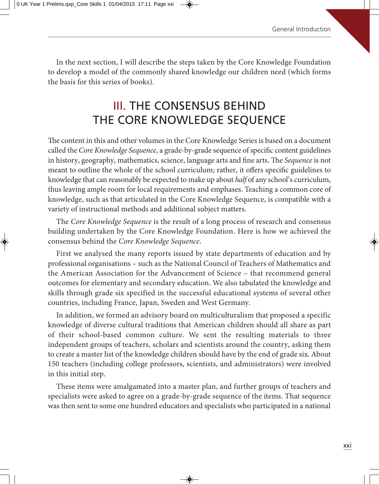In the next section, I will describe the steps taken by the Core Knowledge Foundation to develop a model of the commonly shared knowledge our children need (which forms the basis for this series of books).

#### III. THE CONSENSUS BEHIND THE CORE KNOWLEDGE SEQUENCE

The content in this and other volumes in the Core Knowledge Series is based on a document called the Core Knowledge Sequence, a grade-by-grade sequence of specific content guidelines in history, geography, mathematics, science, language arts and fine arts. The *Sequence* is not meant to outline the whole of the school curriculum; rather, it offers specific guidelines to knowledge that can reasonably be expected to make up about half of any school's curriculum, thus leaving ample room for local requirements and emphases. Teaching a common core of knowledge, such as that articulated in the Core Knowledge Sequence, is compatible with a variety of instructional methods and additional subject matters.

The Core Knowledge Sequence is the result of a long process of research and consensus building undertaken by the Core Knowledge Foundation. Here is how we achieved the consensus behind the Core Knowledge Sequence.

First we analysed the many reports issued by state departments of education and by professional organisations – such as the National Council of Teachers of Mathematics and the American Association for the Advancement of Science – that recommend general outcomes for elementary and secondary education. We also tabulated the knowledge and skills through grade six specified in the successful educational systems of several other countries, including France, Japan, Sweden and West Germany.

In addition, we formed an advisory board on multiculturalism that proposed a specific knowledge of diverse cultural traditions that American children should all share as part of their school-based common culture. We sent the resulting materials to three independent groups of teachers, scholars and scientists around the country, asking them to create a master list of the knowledge children should have by the end of grade six. About 150 teachers (including college professors, scientists, and administrators) were involved in this initial step.

These items were amalgamated into a master plan, and further groups of teachers and specialists were asked to agree on a grade-by-grade sequence of the items. That sequence was then sent to some one hundred educators and specialists who participated in a national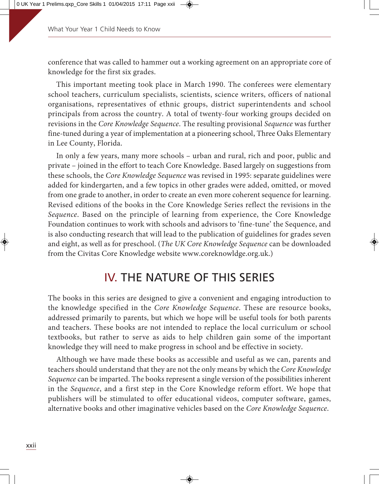conference that was called to hammer out a working agreement on an appropriate core of knowledge for the first six grades.

This important meeting took place in March 1990. The conferees were elementary school teachers, curriculum specialists, scientists, science writers, officers of national organisations, representatives of ethnic groups, district superintendents and school principals from across the country. A total of twenty-four working groups decided on revisions in the Core Knowledge Sequence. The resulting provisional Sequence was further fine-tuned during a year of implementation at a pioneering school, Three Oaks Elementary in Lee County, Florida.

In only a few years, many more schools – urban and rural, rich and poor, public and private – joined in the effort to teach Core Knowledge. Based largely on suggestions from these schools, the Core Knowledge Sequence was revised in 1995: separate guidelines were added for kindergarten, and a few topics in other grades were added, omitted, or moved from one grade to another, in order to create an even more coherent sequence for learning. Revised editions of the books in the Core Knowledge Series reflect the revisions in the Sequence. Based on the principle of learning from experience, the Core Knowledge Foundation continues to work with schools and advisors to 'fine-tune' the Sequence, and is also conducting research that will lead to the publication of guidelines for grades seven and eight, as well as for preschool. (The UK Core Knowledge Sequence can be downloaded from the Civitas Core Knowledge website www.coreknowldge.org.uk.)

#### IV. THE NATURE OF THIS SERIES

The books in this series are designed to give a convenient and engaging introduction to the knowledge specified in the Core Knowledge Sequence. These are resource books, addressed primarily to parents, but which we hope will be useful tools for both parents and teachers. These books are not intended to replace the local curriculum or school textbooks, but rather to serve as aids to help children gain some of the important knowledge they will need to make progress in school and be effective in society.

Although we have made these books as accessible and useful as we can, parents and teachers should understand that they are not the only means by which the Core Knowledge Sequence can be imparted. The books represent a single version of the possibilities inherent in the Sequence, and a first step in the Core Knowledge reform effort. We hope that publishers will be stimulated to offer educational videos, computer software, games, alternative books and other imaginative vehicles based on the Core Knowledge Sequence.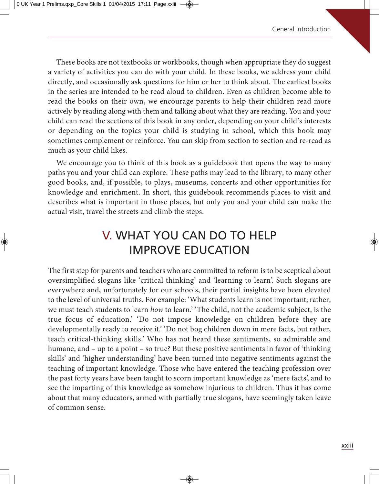These books are not textbooks or workbooks, though when appropriate they do suggest a variety of activities you can do with your child. In these books, we address your child directly, and occasionally ask questions for him or her to think about. The earliest books in the series are intended to be read aloud to children. Even as children become able to read the books on their own, we encourage parents to help their children read more actively by reading along with them and talking about what they are reading. You and your child can read the sections of this book in any order, depending on your child's interests or depending on the topics your child is studying in school, which this book may sometimes complement or reinforce. You can skip from section to section and re-read as much as your child likes.

We encourage you to think of this book as a guidebook that opens the way to many paths you and your child can explore. These paths may lead to the library, to many other good books, and, if possible, to plays, museums, concerts and other opportunities for knowledge and enrichment. In short, this guidebook recommends places to visit and describes what is important in those places, but only you and your child can make the actual visit, travel the streets and climb the steps.

### V. WHAT YOU CAN DO TO HELP IMPROVE EDUCATION

The first step for parents and teachers who are committed to reform is to be sceptical about oversimplified slogans like 'critical thinking' and 'learning to learn'. Such slogans are everywhere and, unfortunately for our schools, their partial insights have been elevated to the level of universal truths. For example: 'What students learn is not important; rather, we must teach students to learn *how* to learn.' 'The child, not the academic subject, is the true focus of education.' 'Do not impose knowledge on children before they are developmentally ready to receive it.' 'Do not bog children down in mere facts, but rather, teach critical-thinking skills.' Who has not heard these sentiments, so admirable and humane, and – up to a point – so true? But these positive sentiments in favor of 'thinking skills' and 'higher understanding' have been turned into negative sentiments against the teaching of important knowledge. Those who have entered the teaching profession over the past forty years have been taught to scorn important knowledge as 'mere facts', and to see the imparting of this knowledge as somehow injurious to children. Thus it has come about that many educators, armed with partially true slogans, have seemingly taken leave of common sense.